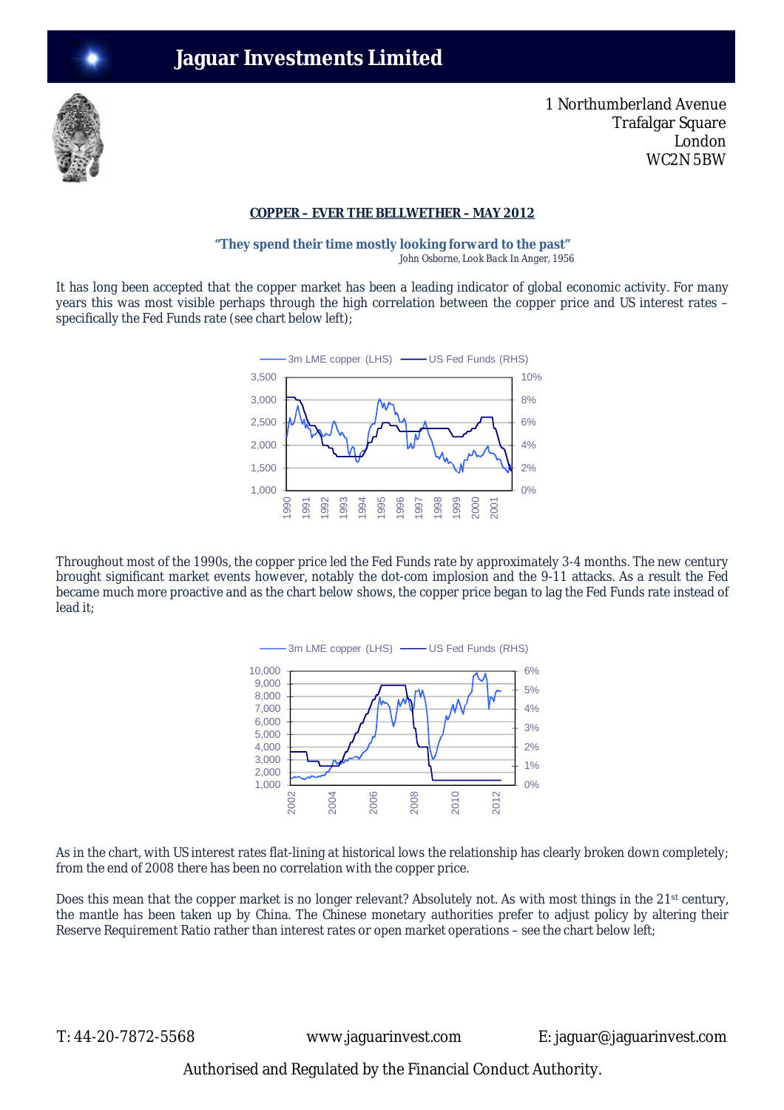## **Jaguar Investments Limited**



1 Northumberland Avenue Trafalgar Square London WC2N 5BW

## **COPPER – EVER THE BELLWETHER – MAY 2012**

**"They spend their time mostly looking forward to the past"**   *John Osborne, Look Back In Anger, 1956*

It has long been accepted that the copper market has been a leading indicator of global economic activity. For many years this was most visible perhaps through the high correlation between the copper price and US interest rates – specifically the Fed Funds rate (see chart below left);



Throughout most of the 1990s, the copper price led the Fed Funds rate by approximately 3-4 months. The new century brought significant market events however, notably the dot-com implosion and the 9-11 attacks. As a result the Fed became much more proactive and as the chart below shows, the copper price began to lag the Fed Funds rate instead of lead it;



As in the chart, with US interest rates flat-lining at historical lows the relationship has clearly broken down completely; from the end of 2008 there has been no correlation with the copper price.

Does this mean that the copper market is no longer relevant? Absolutely not. As with most things in the 21<sup>st</sup> century, the mantle has been taken up by China. The Chinese monetary authorities prefer to adjust policy by altering their Reserve Requirement Ratio rather than interest rates or open market operations – see the chart below left;

T: 44-20-7872-5568 www.jaguarinvest.com E: jaguar@jaguarinvest.com

Authorised and Regulated by the Financial Conduct Authority.